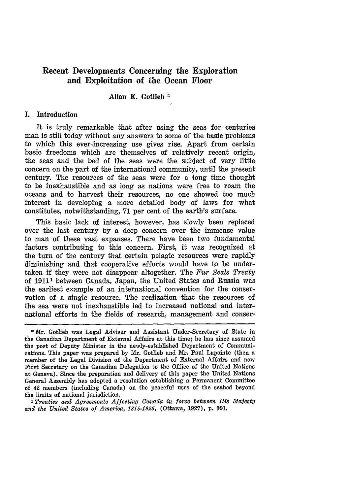# **Recent Developments Concerning the Exploration and Exploitation of the Ocean Floor**

# Allan **E.** Gotlieb

### **I.** Introduction

It is truly remarkable that after using the seas for centuries man is still today without any answers to some of the basic problems to which this ever-increasing use gives rise. Apart from certain basic freedoms which are themselves of relatively recent origin, the seas and the bed of the seas were the subject of very little concern on the part of the international community, until the present century. The resources of the seas were for a long time thought to be inexhaustible and as long as nations were free to roam the oceans and to harvest their resources, no one showed too much interest in developing a more detailed body of laws for what constitutes, notwithstanding, 71 per cent of the earth's surface.

This basic lack of interest, however, has slowly been replaced over the last century **by** a deep concern over the immense value to man of these vast expanses. There have been two fundamental factors contributing to this concern. First, it was recognized at the turn of the century that certain pelagic resources were rapidly diminishing and that cooperative efforts would have to be undertaken if they were not disappear altogether. The *Fur Seals Treaty* of 19111 between Canada, Japan, the United States and Russia was the earliest example of an international convention for the conservation of a single resource. The realization that the resources of the sea were not inexhaustible led to increased national and international efforts in the fields of research, management and conser-

*'Treaties and Agreements Affecting Canada in force between His Majesty and the United States of America, 1814-1925,* (Ottawa, 1927), p. **391.**

<sup>\*</sup> Mr. Gotlieb was Legal Adviser and Assistant Under-Secretary of State in the Canadian Department of External Affairs at this time; he has since assumed the post of Deputy Minister in the newly-established Department of Communications. This paper was prepared **by** Mr. Gotlieb and Mr. Paul Lapointe (then a member of the Legal Division of the Department of External Affairs and now First Secretary on the Canadian Delegation to the Office of the United Nations at Geneva). Since the preparation and delivery of this paper the United Nations General Assembly has adopted a resolution establishing a Permanent Committee of 42 members (including Canada) on the peaceful uses of the seabed beyond the limits of national jurisdiction.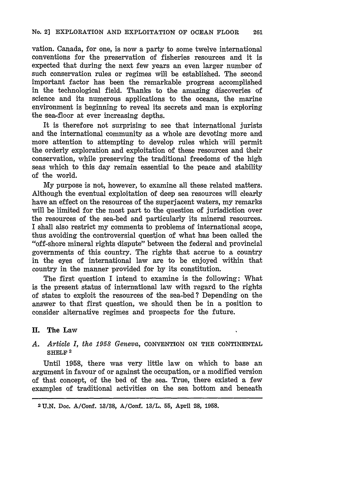vation. Canada, for one, is now a party to some twelve international conventions for the preservation of fisheries resources and it is expected that during the next few years an even larger number of such conservation rules or regimes will be established. The second important factor has been the remarkable progress accomplished in the technological field. Thanks to the amazing discoveries of science and its numerous applications to the oceans, the marine environment is beginning to reveal its secrets and man is exploring the sea-floor at ever increasing depths.

It is therefore not surprising to see that international jurists and the international community as a whole are devoting more and more attention to attempting to develop rules which will permit the orderly exploration and exploitation of these resources and their conservation, while preserving the traditional freedoms of the high seas which to this day remain essential to the peace and stability of the world.

My purpose is not, however, to examine all these related matters. Although the eventual exploitation of deep sea resources will clearly have an effect on the resources of the superjacent waters, my remarks will be limited for the most part to the question of jurisdiction over the resources of the sea-bed and particularly its mineral resources. I shall also restrict my comments to problems of international scope, thus avoiding the controversial question of what has been called the "off-shore mineral rights 'dispute" between the federal and provincial governments of this country. The rights that accrue to a country in the eyes of international law are to be enjoyed within that country in the manner provided for by its constitution.

The first question I intend to examine is the following: What is the present status of international law with regard to the rights of states to exploit the resources of the sea-bed ? Depending on the answer to that first question, we should then be in a position to consider alternative regimes and prospects for the future.

# **I. The Law**

# *A. Article I, the 1958 Geneva,* **CONVENTION ON THE CONTINENTAL SHELF 2**

Until **1958,** there was very little law on which to base an argument in favour of or against the occupation, or a modified version of that concept, of the bed of the sea. True, there existed a few examples of traditional activities on the sea bottom and beneath

**<sup>2</sup> U.N.** Doc. A/Conf. **13/38,** *A/Conf.* **1S/L. 55, April** 28, **1958.**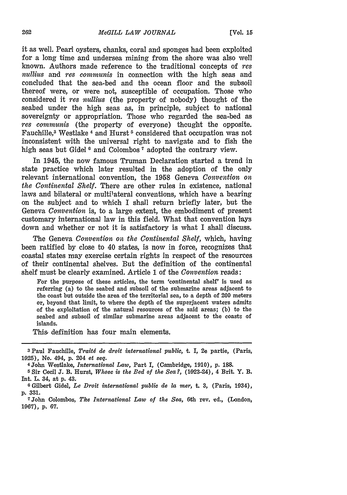it as well. Pearl oysters, chanks, coral and sponges had been exploited for a long time and undersea mining from the shore was also well known. Authors made reference to the traditional concepts of *res nullius* and *res communis* in connection with the high seas and concluded that the sea-bed and the ocean floor and the subsoil thereof were, or were not, susceptible of occupation. Those who considered it *res nullius* (the property of nobody) thought of the seabed under the high seas as, in principle, subject to national sovereignty or appropriation. Those who regarded the sea-bed as *res communis* (the property of everyone) thought the opposite. Fauchille,<sup>3</sup> Westlake<sup>4</sup> and Hurst<sup>5</sup> considered that occupation was not inconsistent with the universal right to navigate and to fish the high seas but Gidel **6** and Colombos **7** adopted the contrary view.

In 1945, the now famous Truman Declaration started a trend in state practice which later resulted in the adoption of the only relevant international convention, the 1958 Geneva *Convention on the Continental Shelf.* There are other rules in existence, national laws and bilateral or multilateral conventions, which have a bearing on the subject and to which I shall return briefly later, but the Geneva *Convention* is, to a large extent, the embodiment of present customary international law in this field. What that convention lays down and whether or not it is satisfactory is what I shall discuss.

The Geneva *Convention on the Continental Shelf,* which, having been ratified by close to 40 states, is now in force, recognizes that coastal states may exercise certain rights in respect of the resources of their continental shelves. But the definition of the continental shelf must be clearly examined. Article 1 of the *Convention* reads:

For the purpose of these articles, the term 'continental shelf' is used as referring (a) to the seabed and subsoil of the submarine areas adjacent to the coast but outside the area of the territorial sea, to a depth of 200 meters or, beyond that limit, to where the depth of the superjacent waters admits of the exploitation of the natural resources of the said areas; (b) to the seabed and subsoil of similar submarine areas adjacent to the coasts of islands.

This, definition has four main elements.

**<sup>3</sup>**Paul Fauchille, *Trait6 de droit international public,* t. I, 2e partie, (Paris, 1925), No. 494, p. 204 et *seq.*

<sup>4</sup>John Westlake, *International Law,* Part I, (Cambridge, 1910), p. 188.

**<sup>5</sup>** Sir Cecil **J.** B. Hurst, *Whose is the Bed of the Sea?,* (1023-24), 4 Brit. Y. B. Int. L. 34, at p. 43.

**<sup>6</sup>** Gilbert Gidel, *Le Droit international public de la mer,* t. **3,** (Paris, 1034), **p. 331.**

<sup>7</sup>John Colombos, *The International Law of the Sea,* 6th rev. ed., (London, 1967), p. 67.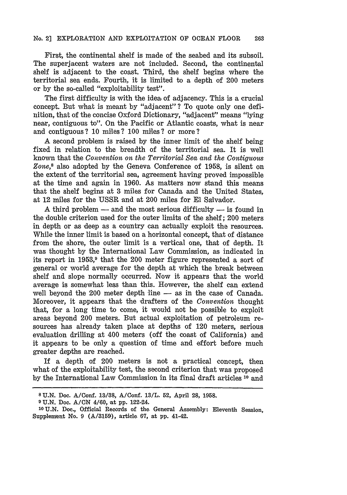First, the continental shelf is made of the seabed and its subsoil. The superjacent waters are not included. Second, the continental shelf is adjacent to the coast. Third, the shelf begins where the territorial sea ends. Fourth, it is limited to a depth of 200 meters or **by** the so-called "exploitability test".

The first difficulty is with the idea, of adjacency. This is a crucial concept. But what is meant by "adjacent" ? To quote only one definition, that of the concise Oxford Dictionary, '"adjacent" means "lying near, contiguous to". On the Pacific or Atlantic coasts, what is near and contiguous? **10** miles? **100** miles? or more?

A second problem is raised **by** the inner limit of the shelf being fixed in relation to the breadth of the territorial sea. It is well known that the *Convention on the Territorial Sea and the Contiguous Zone,8* also adopted by the Geneva Conference of 1958, is silent on the extent of the territorial sea, agreement having proved impossible at the time and again in 1960. As matters now stand this means that the shelf begins at 3 miles for Canada and the United States, at 12 miles for the USSR and at 200 miles for **El** Salvador.

A third problem  $-$  and the most serious difficulty  $-$  is found in the double criterion used for the outer limits of the shelf; 200 meters in depth or as deep as a country can actually exploit the resources. While the inner limit is based on a horizontal concept, that of distance from the shore, the outer limit is a vertical one, that of depth. It was thought by the International Law Commission, as indicated in its report in 1953,<sup>9</sup> that the 200 meter figure represented a sort of general or world average for the depth at which the break between shelf and slope normally occurred. Now it appears that the world average is somewhat less than this. However, the shelf can extend well beyond the 200 meter depth line - as in the case of Canada. Moreover, it appears that the drafters of the *Convention* thought that, for a long time to come, it would not be possible to exploit areas beyond 200 meters. But actual exploitation of petroleum resources has already taken place at depths of 120 meters, serious evaluation drilling at 400 meters (off the coast of California) and it appears to be only a question of time and effort before much greater depths are reached.

If a depth of 200 meters is not a practical concept, then what of the exploitability test, the second criterion that was proposed **by** the International Law Commission in its final draft articles **11** and

**<sup>8</sup> U.N.** Doc. **A/Conf.** 13/SR, A/Conf. **13/L. 52,** April **28, 1958.**

**<sup>9</sup> U.N.** Doc. A/CN 4/60, at **pp.** 1,22-24.

**<sup>10</sup> U.N.** Doe., Official Records of the General Assembly: Eleventh Session, Supplement No. **9 (A/3159),** article **67,** at **pp.** 41-42.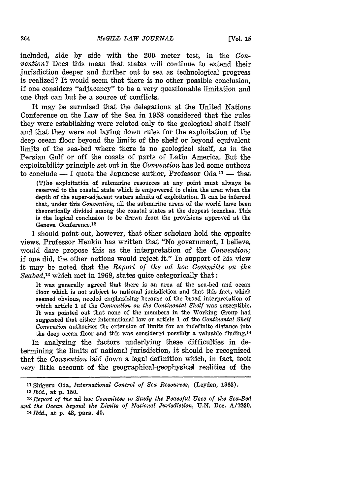included, side by side with the 200 meter test, in the *Convention?* Does this mean that states will continue to extend their jurisdiction deeper and further out to sea as technological progress is realized? It would seem that there is no other possible conclusion, if one considers "adjacency" to be a very questionable limitation and one that can but be a source of conflicts.

It may be surmised that the delegations at the United Nations Conference on the Law of the Sea in 1958 considered that the rules they were establishing were related only to the geological shelf itself and that they were not laying down rules for the exploitation of the deep ocean floor beyond the limits of the shelf or beyond equivalent limits of the sea-bed where there is no geological shelf, as in the Persian Gulf or off the coasts of parts of Latin America. But the exploitability principle set out in the *Convention* has led some authors to conclude - I quote the Japanese author, Professor Oda **11 -** that

(T)he exploitation of submarine resources at any point must always be reserved to the coastal state which is empowered to claim the area when the depth of the super-adjacent waters admits of exploitation. It can be inferred that, under this *Convention,* all the submarine areas of the world have been theoretically divided among the coastal states at the deepest trenches. This is the logical conclusion to be drawn from the provisions approved at the Geneva Conference.12

I should point out, however, that other scholars hold the opposite views. Professor Henkin has written that "No government, I believe, would dare propose this as the interpretation of the *Convention;* if one did, the other nations would reject it." In support of his view it may be noted that the *Report of the ad hoe Committe on the Seabed,13* which met in 1968, states quite categorically that:

It was generally agreed that there is an area of the sea-bed and ocean floor which is not subject to national jurisdiction and that this fact, which seemed obvious, needed emphasizing because of the broad interpretation of which article 1 of the *Convention on the Continental Shelf* was susceptible. It was pointed out that none of the members in the Working Group had suggested that either international law or article 1 of the *Continental Shelf Convention* authorizes the extension of limits for an indefinite distance into the deep ocean floor and this was considered possibly a valuable finding.<sup>14</sup>

In analyzing the factors underlying these difficulties in determining the limits of national jurisdiction, it should be recognized that the *Convention* laid down a legal definition which, in fact, took very littJe account of the geographical-geophysical realities of the

**<sup>11</sup>**Shigeru Oda, *International Control of Sea Resources,* (Leyden, 1963). <sup>12</sup>*Ibid.,* at p. 150.

*<sup>&#</sup>x27;s Report of the* ad hoc *Committee to Study the Peaceful Uses of the Sea-Bed and the Ocean beyond the Limits of National Jurisdiction,* U.N. Doe. **A/7230.** *14Ibid.,* at p. 48, para. 40.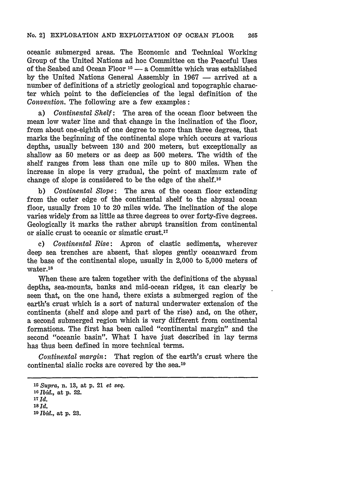### No. 2] EXPLORATION AND EXPLOITATION **OF OCEAN** FLOOR 265

oceanic submerged areas. The Economic and Technical Working Group of the United Nations ad hoc Committee on the Peaceful Uses of the Seabed and Ocean Floor **15 -** a Committe which was established by the United Nations General Assembly in 1967 – arrived at a number of definitions of a strictly geological and topographic character which point to the deficiencies of the legal definition of the *Convention.* The following are **a** few examples:

a) *Continental Shelf:* The area of the ocean floor between the mean low water line and that change in the inclination of the floor, from about one-eighth of one degree to more than three degrees, that marks the beginning of the continental slope which occurs at various depths, usually between **130** and 200 meters, but exceptionally as shallow as **50** meters or as deep as **500** meters. The width of the shelf ranges from less than one mile up to **800** miles. When the increase in slope is very gradual, the point of maximum rate of change of slope is considered to be the edge of the shelf.16

**b)** *Continental Slope:* The area of the ocean floor extending from the outer edge of the continental shelf to the abyssal ocean floor, usually from **10** to 20 miles wide. The inclination of the slope varies widely from as little as three degrees to over forty-five degrees. Geologically it marks the rather abrupt transition from continental or sialic crust to oceanic or simatic crust.17

**c)** *Continental Rise:* Apron of clastic sediments, wherever deep sea trenches are absent, that slopes gently oceanward from the base of the continental slope, usually in 2,000 to **5,000** meters of water.<sup>18</sup>

When these are taken together with the definitions of the abyssal depths, sea-mounts, banks and mid-ocean ridges, it can clearly be seen that, on the one hand, there exists a submerged region of the earth's crust which is a sort of natural underwater extension of the continents (shelf and slope and part of the rise) and, on the other, a second submerged region which is very different from continental formations. The first has been called "continental margin" and the second "oceanic basin". What I have just described in lay terms has thus been defined in more technical terms.

*Continental margin:* That region of the earth's crust where the continental sialic rocks are covered by the sea.<sup>19</sup>

*<sup>15</sup> Supra,* n. **13,** at **p.** 21 et *seq. '0 Ibid.,* **at p. 22. 17** *Id. 181 d.* **19** *Ibid.,* **at p. 23.**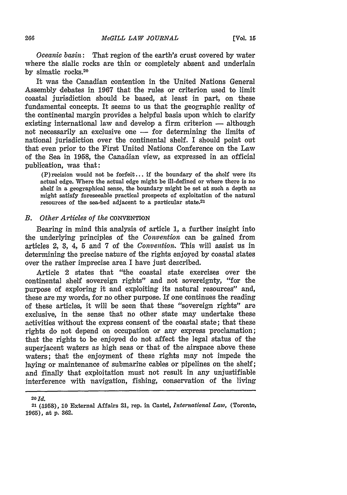*Oceanic basin:* That region of the earth's crust covered by water where the sialic rocks are thin or completely absent and underlain by simatic rocks.<sup>20</sup>

It was the Canadian contention in the United Nations General Assembly debates in 1967 that the rules or criterion used to limit coastal jurisdiction should be based, at least in part, on these fundamental concepts. It seems to us that the geographic reality **of** the continental margin provides a helpful basis upon which to clarify existing international law and develop a firm criterion  $-$  although not necessarily an exclusive one  $-$  for determining the limits of national jurisdiction over the continental shelf. I should point out that even prior to the First United Nations Conference on the Law of the Sea in 1958, the Canadian view, as expressed in an official publication, was that:

**(P)** recision would not be forfeit.., if the boundary of the shelf were its actual edge. Where the actual edge might be ill-defined or where there is no shelf in a geographical sense, the boundary might be set at such a depth as might satisfy foreseeable practical prospects of exploitation of the natural resources of the sea-bed adjacent to a particular state.21

#### *B. Other Articles of the* CONVENTION

Bearing in mind this analysis of article 1, a further insight into the underlying principles of the *Convention* can be gained from articles 2, **3,** 4, 5 and **7** of the *Convention.* This will assist us in determining the precise nature of the rights enjoyed by coastal states over the rather imprecise area I have just described.

Article 2 states that "the coastal state exercises over the continental shelf sovereign rights" and not sovereignty, "for the purpose of exploring it and exploiting its natural resources" and, these are my words, for no other purpose. If one continues the reading of these articles, it will be seen that these "sovereign rights" are exclusive, in the sense that no other state may undertake these activities without the express consent of the coastal state; that these rights do not depend on occupation or any express proclamation; that the rights to be enjoyed do not affect the legal status of the superjacent waters as high seas or that of the airspace above these waters; that the enjoyment of these rights may not impede the laying or maintenance of submarine cables or pipelines on the shelf; and finally that exploitation must not result in any unjustifiable interference with navigation, fishing, conservation of the living

**20** *Id.*

**<sup>21 (,1959), 10</sup>** External Affairs 21, rep. in Castel, *International Law,* (Toronto, **1965),** at p. 362.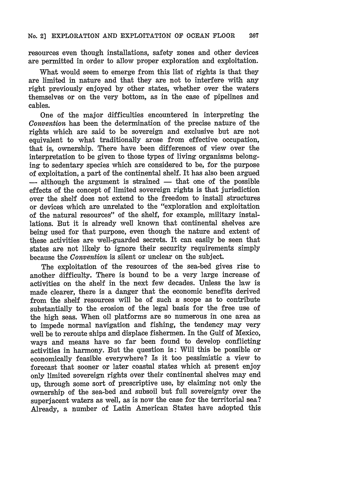resources even though installations, safety zones and other devices are permitted in order to allow proper exploration and exploitation.

What would seem to emerge from this list of rights is that they are limited in nature and that they are not to interfere with any right previously enjoyed by other states, whether over the waters themselves or on the very bottom, as in the case of pipelines and cables.

One of the major difficulties encountered in interpreting the *Convention* has been the determination of the precise nature of the rights which are said to be sovereign and exclusive but are not equivalent to what traditionally arose from effective occupation, that is, ownership. There have been differences of view over the interpretation to be given to those types of living organisms belonging to sedentary species which are considered to be, for the purpose of exploitation, a part of the continental shelf. It has also been argued - although the argument is strained - that one of the possible effects of the concept of limited sovereign rights is that jurisdiction over the shelf does not extend to the freedom to install structures or devices which are unrelated to the "exploration and exploitation of the natural resources" of the shelf, for example, military installations. But it is already well known that continental shelves are being used for that purpose, even though the nature and extent of these activities are well-guarded secrets. It can easily be seen that states are not likely to ignore their security requirements simply because the *Convention* is silent or unclear on the subject.

The exploitation of the resources of the sea-bed gives rise to another difficulty. There is bound to be a very large increase of activities on the shelf in the next few decades. Unless the law is made clearer, there is a danger that the economic benefits derived from the shelf resources will be of such a scope as to contribute substantially to the erosion of the legal basis for the free use of the high seas. When oil platforms are so numerous in one area as to impede normal navigation and fishing, the tendency may very well be to reroute ships and displace fishermen. In the Gulf of Mexico, ways and means have so far been found to develop conflicting activities in harmony. But the question is: Will this be possible or economically feasible everywhere? Is it too pessimistic a view to forecast that sooner or later coastal states which at present enjoy only limited sovereign rights over their continental shelves may end up, through some sort of prescriptive use, by claiming not only the ownership of the sea-bed and subsoil but full sovereignty over the superjacent waters as well, as is now the case for the territorial sea? Already, a number of Latin American States have adopted this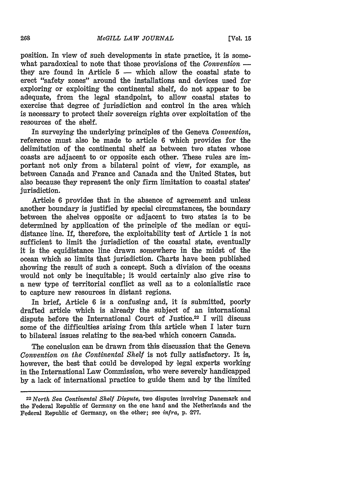position. In view of such developments in state practice, it is somewhat paradoxical to note that those provisions of the *Convention* they are found in Article  $5 -$  which allow the coastal state to erect "safety zones" around the installations and devices used for exploring or exploiting the continental shelf, do not appear to be adequate, from the legal standpoint, to allow coastal states to exercise that degree of jurisdiction and control in the area which is necessary to protect their sovereign rights over exploitation of the resources of the shelf.

In surveying the underlying principles of the Geneva *Convention,* reference must also be made to article 6 which provides for the delimitation of the continental shelf as between two states whose coasts are adjacent to or opposite each other. These rules are important not only from a bilateral point of view, for example, as between Canada and France and Canada and the United States, but also because they represent the only firm limitation to coastal states' jurisdiction.

Article 6 provides that in the absence of agreement and unless another boundary is justified by special circumstances, the boundary between the shelves opposite or adjacent to two states is to be determined by application of the principle of the median or equidistance line. If, therefore, the exploitability test of Article 1 is not sufficient to limit the jurisdiction of the coastal state, eventually it is the equidistance line drawn somewhere in the midst of the ocean which so limits that jurisdiction. Charts have been published showing the result of such a concept. Such a division of the oceans would not only be inequitable; it would certainly also give rise to a new type of territorial conflict as well as to a colonialistic race to capture new resources in distant regions.

In brief, Article 6 is a confusing and, it is submitted, poorly drafted article which is already the subject of an international dispute before the International Court of Justice.<sup>22</sup> I will discuss some of the difficulties arising from this article when I later turn to bilateral issues relating to the sea-bed which concern Canada.

The conclusion can be drawn from this discussion that the Geneva *Convention on the Continental Shelf* is not fully satisfactory. It is, however, the best that could be developed by legal experts working in the International Law Commission, who were severely handicapped by a lack of international practice to guide them and by the limited

<sup>22</sup>*North Sea Continental Shelf Dispute,* two disputes involving Danemark and the Federal Republic of Germany on the one hand and the Netherlands and the Federal Republic of Germany, on the other; see *infra,* p. 277.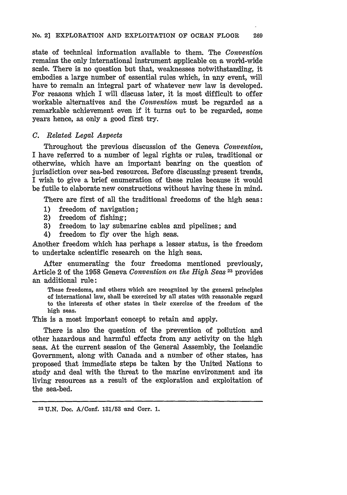state of technical information available to them. The *Convention* remains the only international instrument applicable on a world-wide scalle. There is no question but that, weaknesses notwithstanding, it embodies a large number of essential rules which, in any event, will have to remain an integral part of whatever new law is developed. For reasons which I will discuss later, it is most difficult to offer workable alternatives and the *Convention* must be regarded as a remarkable achievement even if it turns out to be regarded, some years hence, as only a good first try.

### *C. Related Legal Aspects*

Throughout the previous discussion of the Geneva *Convention,* I have referred to a number of legal rights or rules, traditional or otherwise, which have an important bearing on the question of jurisdiction over sea-bed resources. Before discussing present trends, I wish to give a brief enumeration of these rules because it would be futile to elaborate new constructions without having these in mind.

There are first of all the traditional freedoms of the high seas:

- **1)** freedom of navigation;
- 2) freedom of fishing;
- **3)** freedom to lay submarine cables and pipelines; and
- 4) freedom to fly over the high seas.

Another freedom which has perhaps a lesser status, is the freedom to undertake scientific research on the high seas.

After enumerating the four freedoms mentioned previously, Article 2 of the 1958 Geneva *Convention on the High Seas*<sup>23</sup> provides an additional rule:

These freedoms, and others which are recognized by the general principles of international law, shall be exercized by all states with reasonable regard to the interests of other states in their exercize of the freedom of the high seas.

This is a most important concept to retain and apply.

There is also the question of the prevention of pollution and other hazardous and harmful effects from any activity on the high seas. At the current session of the General Assembly, the Icelandic Government, along with Canada and a number of other states, has proposed that immediate steps be taken by the United Nations to study and deal with the threat to the marine environment and its living resources as a result of the exploration and exploitation of the sea-bed.

**<sup>23</sup>** U.N. Doc. A/Conf. **131/53** and Corr. 1.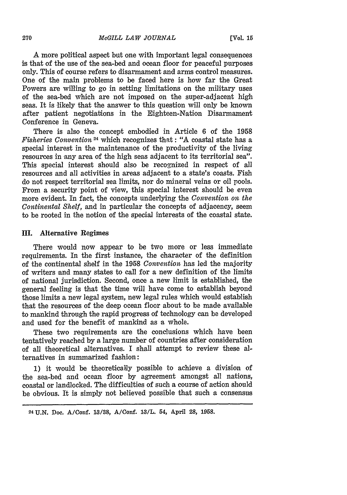A more political aspect but one with important legal consequences is that of the use of the sea-bed and ocean floor for peaceful purposes only. This of course refers to disarmament and arms control measures. One of the main problems to be faced here is how far the Great Powers are willing to go in setting limitations on the military uses of the sea-bed which are not imposed on the super-adjacent high seas. It is likely that the answer to this question will only be known after patient negotiations in the Eighteen-Nation Disarmament Conference in Geneva.

There is also the concept embodied in Article 6 of the 1958 *Fisheries Convention 24* which recognizes that : "A coastal state has a special interest in the maintenance of the productivity of the living resources in any area of the high seas adjacent to its territorial sea". This special interest should also be recognized in respect of *al* resources and all activities in areas adjacent to a state's coasts. Fish do not respect territorial sea limits, nor do mineral veins or oil pools. From a security point of view, this special interest should be even more evident. In fact, the concepts underlying the *Convention on the Continental Shelf,* and in particular the concepts of adjacency, seem to be rooted in the notion of the special interests of the coastal state.

### **III.** Alternative Regimes

There would now appear to be two more or less immediate requirements. In the first instance, the character of the definition of the continental shelf in the 1958 *Convention* has led the majority of writers and many states to call for a new definition of the limits of national jurisdiction. Second, once a new limit is established, the general feeling is that the time will have come to establish beyond those limits a new legal system, new legal rules which would establish that the resources of the deep ocean floor about to be made available to mankind through the rapid progress of technology can be developed and used for the benefit of mankind as a whole.

These two requirements are the conclusions which have been tentatively reached by a large number of countries after consideration of all theoretical alternatives. I shall attempt to review these alternatives in summarized fashion:

1) it would be theoretically possible to achieve a division of the sea-bed and ocean floor by agreement amongst all nations, coastal or landlocked. The difficulties of such a course of action should be obvious. It is simply not believed possible that such a consensus

**<sup>24</sup>**U.N. Doe. A/Conf. **13/38,** A/Conf. 1S/L. 54, April **28, 1958.**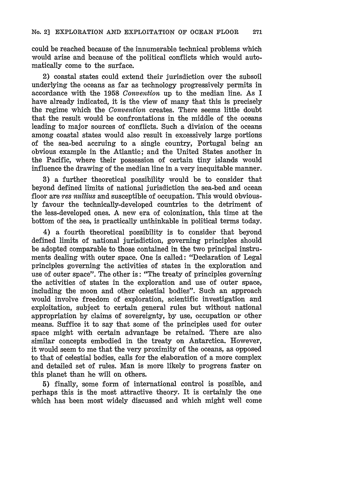could be reached because of the innumerable technical problems which would arise and because of the political conflicts which would automatically come to the surface.

2) coastal states could extend their jurisdiction over the subsoil underlying the oceans as far as technology progressively permits in accordance with the 1958 *Convention* up to the median line. As I have already indicated, it is the view of many that this is precisely the regime which the *Convention* creates. There seems little doubt that the result would be confrontations in the middle of the oceans leading to major sources of conflicts. Such a division of the oceans among coastal states would also result in excessively large portions of the sea-bed accruing to a single country, Portugal being an obvious example in the Atlantic; and the United States another in the Pacific, where their possession of certain tiny islands would influence the drawing of the median line in a very inequitable manner.

3) a further theoretical possibility would be to consider that beyond defined limits of national jurisdiction the sea-bed and ocean floor are *res nullius* and susceptible of occupation. This would obviously favour the technically-developed countries to the detriment of the less-developed ones. A new era of colonization, this time at the bottom of the sea, is practically unthinkable in political terms today.

4) a fourth theoretical possibility is to consider that beyond defined limits of national jurisdiction, governing principles should be adopted comparable to those contained in the two principal instruments dealing with outer space. One is called: "Declaration of Legal principles governing the activities of states in the exploration and use of outer space". The other is: "The treaty of principles governing the activities of states in the exploration and use of outer space, including the moon and other celestial bodies". Such an approach would involve freedom of exploration, scientific investigation and exploitation, subject to certain general rules but without national appropriation by claims of sovereignty, by use, occupation or other means. Suffice it to say that some of the principles used for outer space might with certain advantage be retained. There are also similar concepts embodied in the treaty on Antarctica. However, it would seem to me that the very proximity of the oceans, as opposed to that of celestial bodies, calls for the elaboration of a more complex and detailed set of rules. Man is more likely to progress faster on this planet than he will on others.

5) finally, some form of international control is possible, and perhaps this is the most attractive theory. It is certainly the one which has been most widely discussed and which might well come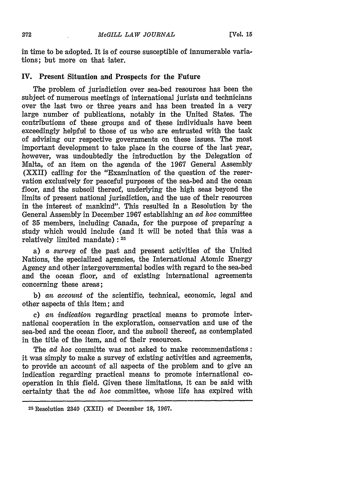in time to be adopted. It is of course susceptible of innumerable variations; but more on that later.

# **IV.** Present Situation and Prospects for the Future

The problem of jurisdiction over sea-bed resources has been the subject of numerous meetings of international jurists and technicians over the last two or three years and has been treated in a very large number of publications, notably in the United States. The contributions of these groups and of these individuals have been exceedingly helpful to those of us who are entrusted with the task of advising our respective governments on these issues. The most important development to take place in the course of the last year, however, was undoubtedly the introduction by the Delegation of Malta, of an item on the agenda of the 1967 General Assembly (XXII) calling for the "Examination of the question of the reservation exclusively for peaceful purposes of the sea-bed and the ocean floor, and the subsoil thereof, underlying the high seas beyond the limits of present national jurisdiction, and the use of their resources in the interest of mankind". This resulted in a Resolution by the General Assembly in December 1967 establishing an *ad hoe* committee of 35 members, including Canada, for the purpose of preparing a study which would include (and it will be noted that this was a relatively limited mandate): <sup>25</sup>

a) a *survey* of the past and present activities of the United Nations, the specialized agencies, the International Atomic Energy Agency and other intergovernmental bodies with regard to the sea-bed and the ocean floor, and of existing international agreements concerning these areas;

b) *an account* of the scientific, technical, economic, legal and other aspects of this item; and

c) *an indication* regarding practical means to promote international cooperation in the exploration, conservation and use of the sea-bed and the ocean floor, and the subsoil thereof, as contemplated in the title of the item, and of their resources.

The *ad hoc* committe was not asked to make recommendations: it was simply to make a survey of existing activities and agreements, to provide an account of all aspects of the problem and to give an indication regarding practical means to promote international cooperation in this field. Given these limitations, it can be said with certainty that the *ad hoc* committee, whose life has expired with

<sup>25</sup> Resolution 2340 (XXII) **of** December **18, 1967.**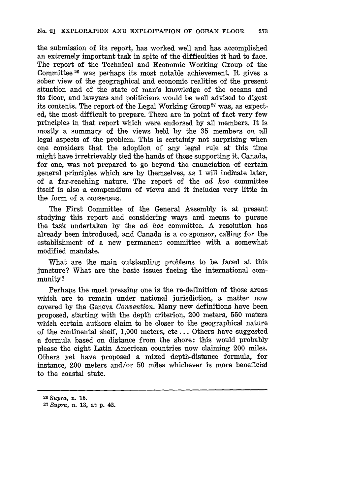the submission of its report, has worked well and has accomplished an extremely important task in spite of the difficulties it had to face. The report of the Technical and Economic Working Group of the Committee 26 was perhaps its most notable achievement. It gives a sober view of the geographical and economic realities of the present situation and of the state of man's knowledge of the oceans and its floor, and lawyers and politicians would be well advised to digest its contents. The report of the Legal Working Group<sup>27</sup> was, as expected, the most difficult to prepare. There are in point of fact very few principles in that report which were endorsed **by** all members. It is mostly a summary of the views held **by** the **35** members on all legal aspects of the problem. This is certainly not surprising when one considers that the adoption of any legal rule at this time might have irretrievably tied the hands of those supporting it. Canada, for one, was not prepared to go beyond the enunciation of certain general principles which are **by** themselves, as I will indicate later, of a far-reaching nature. The report of the *ad hoc* committee itself is also a compendium of views and it includes very little in the form of a consensus.

The First Committee of the General Assembly is at present studying this report and considering ways and means to pursue the task undertaken **by** the *ad hoc* committee. A resolution has already been introduced, and Canada is a co-sponsor, calling for the establishment of a new permanent committee with a somewhat modified mandate.

What are the main outstanding problems to be faced at this juncture? What are the basic issues facing the international community?

Perhaps the most pressing one is the re-definition of those areas which are to remain under national jurisdiction, a matter now covered **by** the Geneva *Convention.* Many new definitions have been proposed, starting with the depth criterion, 200 meters, **550** meters which certain authors claim to be closer to the geographical nature of the continental shelf, **1,000** meters, etc... Others have suggested a formula based on distance from the shore: this would probably please the eight Latin American countries now claiming 200 miles. Others yet have proposed a mixed depth-distance formula, for instance, 200 meters and/or **50** miles whichever is more beneficial to the coastal state.

*<sup>26</sup>Supra,* n. **15. 27** *Supra,* n. **13,** at **p.** 42.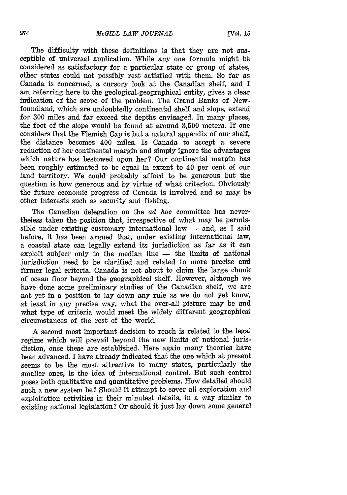The difficulty with these definitions is that they are not susceptible of universal application. While any one formula might **b** considered as satisfactory for a particular state or group of states, other states could not possibly rest satisfied with them. So far as Canada is concerned, a cursory look at the Canadian shelf, and I am referring here to the geological-geographical entity, gives a clear indication of the scope of the problem. The Grand Banks of Newfoundland, which are undoubtedly continental shelf and slope, extend for 300 miles and far exceed the depths envisaged. In many places, the foot of the slope would be found at around 3,500 meters. If one considers that the Flemish Cap is but a natural appendix of our shelf, the distance becomes 400 miles. Is Canada to accept a severe reduction of her continental margin and simply ignore the advantages which nature has bestowed upon her? Our continental margin has been roughly estimated to be equal in extent to 40 per cent of our land territory. We could probably afford to be generous but the question is how generous and by virtue of what criterion. Obviously the future economic progress of Canada is involved and so may be other interests such as security and fishing.

The Canadian delegation on the *ad hoc* committee has nevertheless taken the position that, irrespective of what may be permissible under existing customary international law  $-$  and, as I said before, it has been argued that, under existing international law, a coastal state can legally extend its jurisdiction as far as it can exploit subject only to the median line  $-$  the limits of national jurisdiction need to be clarified and related to more precise and firmer legal criteria. Canada is not about to claim the large chunk of ocean floor beyond the geographical shelf. However, although we have done some preliminary studies of the Canadian shelf, we are not yet in a position to lay down any rule as we do not yet know, at least in any precise way, what the over-all picture may be and what type of criteria would meet the widely different geographical circumstances of the rest of the world.

A second most important decision to reach is related to the legal regime which will prevail beyond the new limits of national jurisdiction, once these are established. Here again many theories have been advanced. I have already indicated that the one which at present seems to be the most attractive to many states, particularly the smaller ones, is the idea of international control. But such control poses both qualitative and quantitative problems. How detailed should such a new system be? Should it attempt to cover all exploration and exploitation activities in their minutest details, in a way similar to existing national legislation? Or should it just lay down some general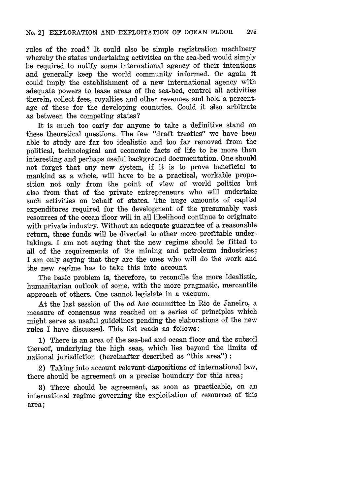rules of the road? It could also be simple registration machinery whereby the states undertaking activities on the sea-bed would simply be required to notify some international agency of their intentions and generally keep the world community informed. Or again it could imply the establishment of a new international agency with adequate powers to lease areas of the sea-bed, control all activities therein, collect fees, royalties and other revenues and hold a percentage of these for the developing countries. Could it also arbitrate as between the competing states?

It is much too early for anyone to take a definitive stand on these theoretical questions. The few "draft treaties" we have been able to study are far too idealistic and too far removed from the political, technological and economic facts of life to be more than interesting and perhaps useful background documentation. One should not forget that any new system, if it is to prove beneficial to mankind as a whole, will have to be a practical, workable proposition not only from the point of view of world politics but also from that of the private entrepreneurs who will undertake such activities on behalf of states. The huge amounts of capital expenditures required for the development of the presumably vast resources of the ocean floor will in all likelihood continue to originate with private industry. Without an adequate guarantee of a reasonable return, these funds will be diverted to other more profitable undertakings. I am not saying that the new regime should be fitted to all of the requirements of the mining and petroleum industries; I am only saying that they are the ones who will do the work and the new regime has to take this into account.

The basic problem is, therefore, to reconcile the more idealistic, humanitarian outlook of some, with the more pragmatic, mercantile approach of others. One cannot legislate in a vacuum.

At the last session of the ad *hoc* committee in Rio de Janeiro, a measure of consensus was reached on a series of principles which might serve as useful guidelines pending the elaborations of the new rules I have discussed. This list reads as follows:

**1)** There is an area of the sea-bed and ocean floor and the subsoil thereof, underlying the high seas, which lies beyond the limits of national jurisdiction (hereinafter described as "this area") **;**

2) Taking into account relevant dispositions of international law, there should be agreement on a precise boundary for this area;

**3)** There should be agreement, as soon as practicable, on an international regime governing the exploitation of resources of this area;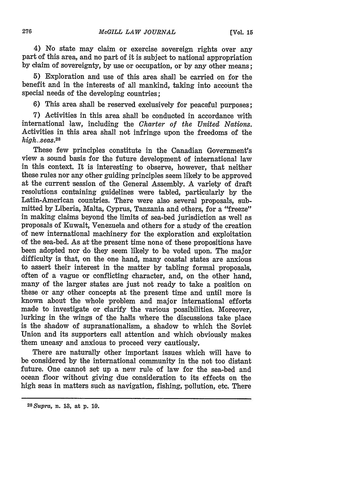4) No state may claim or exercise sovereign rights over any part of this area, and no part of it is subject to national appropriation by claim of sovereignty, by use or occupation, or by any other means;

5) Exploration and use of this area shall be carried on for the benefit and in the interests of all mankind, taking into account the special needs of the developing countries;

6) This area shall be reserved exclusively for peaceful purposes;

7) Activities in this area shall be conducted in accordance with international law, including the *Charter of the United Nations.* Activities in this area shall not infringe upon the freedoms of the *high..seas.28*

These few principles constitute in the Canadian Government's view a sound basis for the future development of international law in this context. It is interesting to observe, however, that neither these rules nor any other guiding principles seem likely to be approved at the current session of the General Assembly. A variety of draft resolutions containing guidelines were tabled, particularly by the Latin-American countries. There were also several proposals, submitted by Liberia, Malta, Cyprus, Tanzania and others, for a "freeze" in making claims beyond the limits of sea-bed jurisdiction as well as proposals of Kuwait, Venezuela and others for a study of the creation of new international machinery for the exploration and exploitation of the sea-bed. As at the present time none of these propositions have been adopted nor do they seem likely to be voted upon. The major difficulty is that, on the one hand, many coastal states are anxious to assert their interest in the matter by tabling formal proposals, often of a vague or conflicting character, and, on the other hand, many of the larger states are just not ready to take a position on these or any other concepts at the present time and until more is known about the whole problem and major international efforts made to investigate or clarify the various possibilities. Moreover, lurking in the wings of the halls where the discussions take place is the shadow of supranationalism, a shadow to which the Soviet Union and its supporters call attention and which obviously makes them uneasy and anxious to proceed very cautiously.

There are naturally other important issues which will have to be considered by the international community in the not too distant future. One cannot set up a new rule of law for the sea-bed and ocean floor without giving due consideration to its effects on the high seas in matters such as navigation, fishing, pollution, etc. There

*<sup>28</sup> Supra,* n. **18,** at p. **1.9.**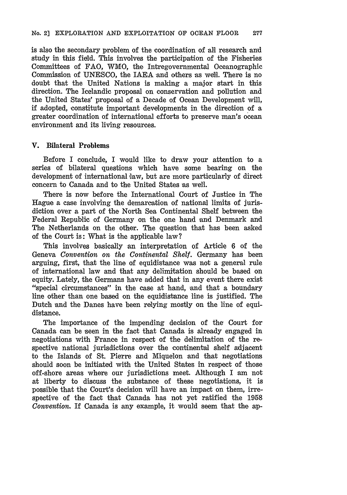is also the secondary problem of the coordination of all research and study in this field. This involves the participation of the Fisheries Committees of FAO, WMO, the Intregovernmental Oceanographic Commission of UNESCO, the IAEA and others as well. There is no doubt that the United Nations is making a major start in this direction. The Icelandic proposal on conservation and pollution and the United States' proposal of a Decade of Ocean Development will, if adopted, constitute important developments in the direction of a greater coordination of international efforts to preserve man's ocean environment and its living resources.

# V. Bilateral Problems

Before I conclude, I would like to draw your attention to a series of bilateral questions which have some bearing on the development of international law, but are more particularly of direct concern to Canada and to the United States as well.

There is now before the International Court of Justice in The Hague a case involving the demarcation of national limits of jurisdiction over a part of the North Sea Continental Shelf between the Federal Republic of Germany on the one hand and Denmark and The Netherlands on the other. The question that has been asked of the Court is: What is the applicable law?

This involves basically an interpretation of Article **6** of the Geneva *Convention on the Continental Shelf.* Germany has been arguing, first, that the line of equidistance was not a general rule of international law and that any delimitation should be based on equity. Lately, the Germans have added that in any event there exist "special circumstances" in the case at hand, and that a boundary line other than one based on the equidistance line is justified. The Dutch and the Danes have been relying mostly on the line of equidistance.

The importance of the impending decision of the Court for Canada can be seen in the fact that Canada is already engaged in negotiations with France in respect of the delimitation of the respective national jurisdictions over the continental shelf adjacent to the Islands of St. Pierre and Miquelon and that negotiations should soon be initiated with the United States in respect of those off-shore areas where our jurisdictions meet. Although I am not at liberty to discuss the substance of these negotiations, it is possible that the Court's decision will have an impact on them, irrespective of the fact that Canada has not yet ratified the 1958 *Convention.* If Canada is any example, it would seem that the ap-